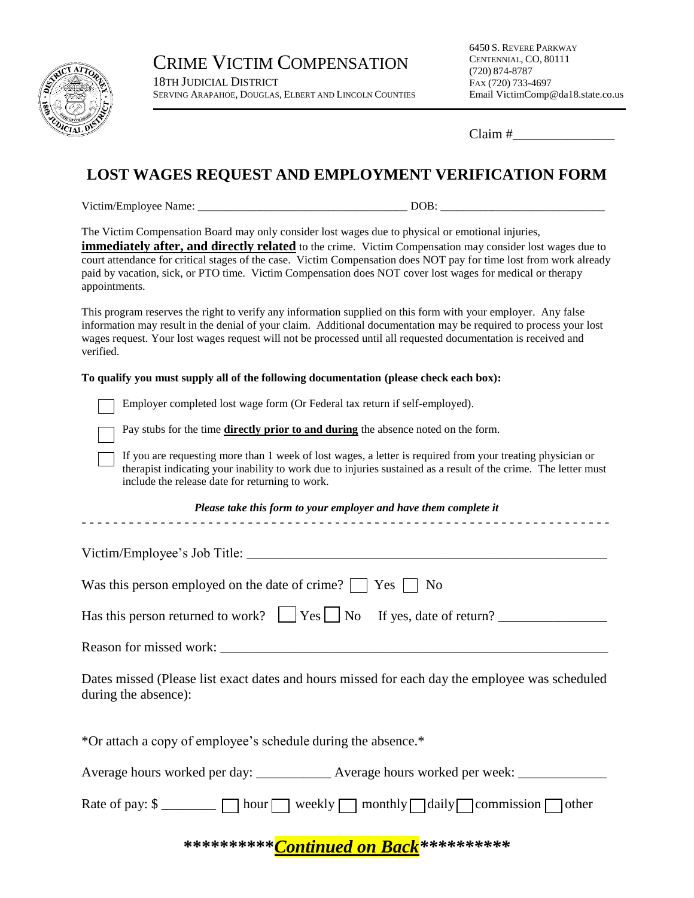

CRIME VICTIM COMPENSATION 18TH JUDICIAL DISTRICT SERVING ARAPAHOE, DOUGLAS, ELBERT AND LINCOLN COUNTIES 6450 S. REVERE PARKWAY CENTENNIAL, CO, 80111 (720) 874-8787 FAX (720) 733-4697 Email VictimComp@da18.state.co.us

Claim #\_\_\_\_\_\_\_\_\_\_\_\_\_\_\_

## **LOST WAGES REQUEST AND EMPLOYMENT VERIFICATION FORM**

Victim/Employee Name: \_\_\_\_\_\_\_\_\_\_\_\_\_\_\_\_\_\_\_\_\_\_\_\_\_\_\_\_\_\_\_\_\_\_\_\_\_ DOB: \_\_\_\_\_\_\_\_\_\_\_\_\_\_\_\_\_\_\_\_\_\_\_\_\_\_\_\_\_

The Victim Compensation Board may only consider lost wages due to physical or emotional injuries,

**immediately after, and directly related** to the crime. Victim Compensation may consider lost wages due to court attendance for critical stages of the case. Victim Compensation does NOT pay for time lost from work already paid by vacation, sick, or PTO time. Victim Compensation does NOT cover lost wages for medical or therapy appointments.

This program reserves the right to verify any information supplied on this form with your employer. Any false information may result in the denial of your claim. Additional documentation may be required to process your lost wages request. Your lost wages request will not be processed until all requested documentation is received and verified.

## **To qualify you must supply all of the following documentation (please check each box):**

Employer completed lost wage form (Or Federal tax return if self-employed).



Pay stubs for the time **directly prior to and during** the absence noted on the form.

If you are requesting more than 1 week of lost wages, a letter is required from your treating physician or therapist indicating your inability to work due to injuries sustained as a result of the crime. The letter must include the release date for returning to work.

## *Please take this form to your employer and have them complete it* - - - - - - - - - - - - - - - - - - - - - - - - - - - - - - - - - - - - - - - - - - - - - - - - - - - - - - - - - - - - - - - - - - -

| Victim/Employee's Job Title:                                          |
|-----------------------------------------------------------------------|
| Was this person employed on the date of crime? $\vert$ Yes $\vert$ No |
|                                                                       |
| Reason for missed work:                                               |

Dates missed (Please list exact dates and hours missed for each day the employee was scheduled during the absence):

\*Or attach a copy of employee's schedule during the absence.\*

Average hours worked per day: \_\_\_\_\_\_\_\_\_\_\_\_\_\_ Average hours worked per week: \_\_\_\_\_\_\_\_\_\_\_

Rate of pay: \$ \_\_\_\_\_\_\_\_ hour weekly monthly daily commission other

**\*\*\*\*\*\*\*\*\*\****Continued on Back\*\*\*\*\*\*\*\*\*\**